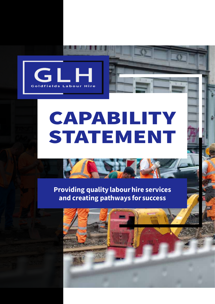

# CAPABILITY STATEMENT

Providing quality labour hire services and creating pathways for success

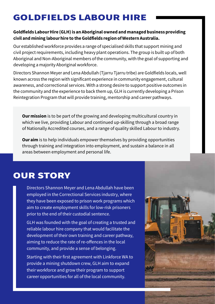## GOLDFIELDS LABOUR HIRE

#### Goldfields Labour Hire (GLH) is an Aboriginal owned and managed business providing civil and mining labour hire to the Goldfields region of Western Australia.

Our established workforce provides a range of specialised skills that support mining and civil project requirements, including heavy plant operations. The group is built up of both Aboriginal and Non-Aboriginal members of the community, with the goal of supporting and developing a majority Aboriginal workforce.

Directors Shannon Meyer and Lena Abdullah (Tjarru Tjarru tribe) are Goldfields locals, well known across the region with significant experience in community engagement, cultural awareness, and correctional services. With a strong desire to support positive outcomes in the community and the experience to back them up, GLH is currently developing a Prison Reintegration Program that will provide training, mentorship and career pathways.

**Our mission** is to be part of the growing and developing multicultural country in which we live, providing Labour and continued up-skilling through a broad range of Nationally Accredited courses, and a range of quality skilled Labour to industry.

**Our aim** is to help individuals empower themselves by providing opportunities through training and integration into employment, and sustain a balance in all areas between employment and personal life.

## OUR STORY

Directors Shannon Meyer and Lena Abdullah have been employed in the Correctional Services industry, where they have been exposed to prison work programs which aim to create employment skills for low-risk prisoners prior to the end of their custodial sentence.

GLH was founded with the goal of creating a trusted and reliable labour hire company that would facilitate the development of their own training and career pathway, aiming to reduce the rate of re-offences in the local community, and provide a sense of belonging.

Starting with their first agreement with Linkforce WA to provide a mining shutdown crew, GLH aim to expand their workforce and grow their program to support career opportunities for all of the local community.

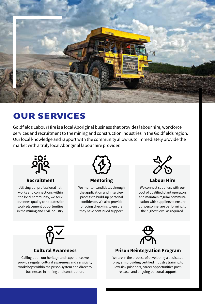

## OUR SERVICES

Goldfields Labour Hire is a local Aboriginal business that provides labour hire, workforce services and recruitment to the mining and construction industries in the Goldfields region. Our local knowledge and rapport with the community allow us to immediately provide the market with a truly local Aboriginal labour hire provider.



Recruitment

Utilising our professional networks and connections within the local community, we seek out new, quality candidates for work placement opportunities in the mining and civil industry.



Mentoring

We mentor candidates through the application and interview process to build-up personal confidence. We also provide ongoing check-ins to ensure they have continued support.



Labour Hire

We connect suppliers with our pool of qualified plant operators and maintain regular communication with suppliers to ensure our personnel are performing to the highest level as required.



#### Cultural Awareness

Calling upon our heritage and experience, we provide regular cultural awareness and sensitivity workshops within the prison system and direct to businesses in mining and construction.



#### Prison Reintegration Program

We are in the process of developing a dedicated program providing certified industry training to low-risk prisoners, career opportunities postrelease, and ongoing personal support.